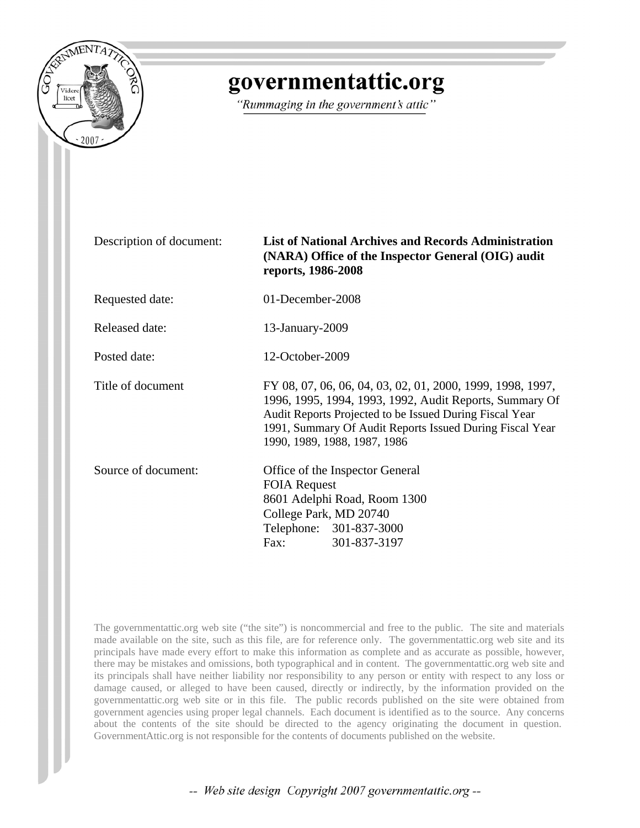

# governmentattic.org

"Rummaging in the government's attic"

#### Description of document: **List of National Archives and Records Administration (NARA) Office of the Inspector General (OIG) audit reports, 1986-2008**

Requested date: 01-December-2008

Released date: 13-January-2009

Posted date: 12-October-2009

Title of document FY 08, 07, 06, 06, 04, 03, 02, 01, 2000, 1999, 1998, 1997,

1996, 1995, 1994, 1993, 1992, Audit Reports, Summary Of Audit Reports Projected to be Issued During Fiscal Year 1991, Summary Of Audit Reports Issued During Fiscal Year 1990, 1989, 1988, 1987, 1986

Source of document: Office of the Inspector General FOIA Request 8601 Adelphi Road, Room 1300 College Park, MD 20740 Telephone: 301-837-3000 Fax: 301-837-3197

The governmentattic.org web site ("the site") is noncommercial and free to the public. The site and materials made available on the site, such as this file, are for reference only. The governmentattic.org web site and its principals have made every effort to make this information as complete and as accurate as possible, however, there may be mistakes and omissions, both typographical and in content. The governmentattic.org web site and its principals shall have neither liability nor responsibility to any person or entity with respect to any loss or damage caused, or alleged to have been caused, directly or indirectly, by the information provided on the governmentattic.org web site or in this file. The public records published on the site were obtained from government agencies using proper legal channels. Each document is identified as to the source. Any concerns about the contents of the site should be directed to the agency originating the document in question. GovernmentAttic.org is not responsible for the contents of documents published on the website.

-- Web site design Copyright 2007 governmentattic.org --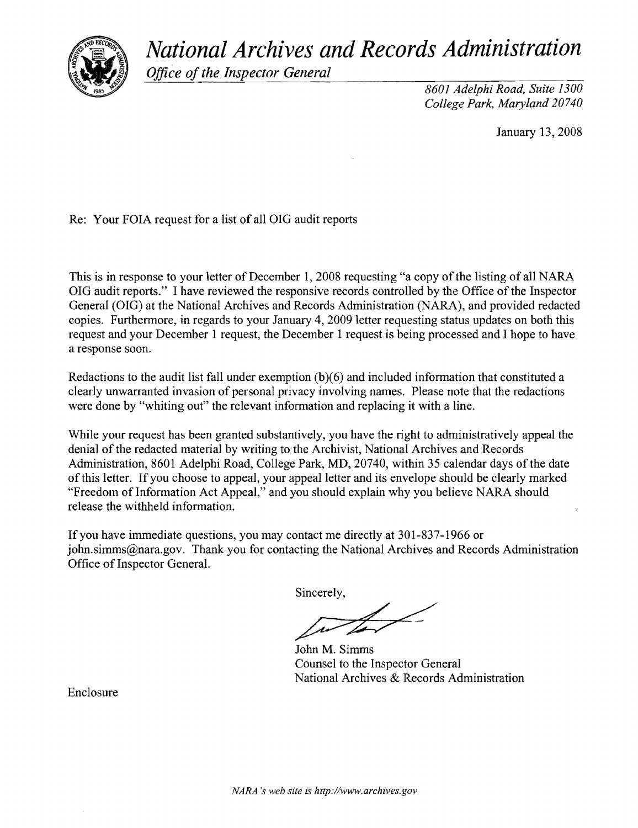*National Archives and Records Administration* 



*Office of the Inspector General* 

*8601 Adelphi Road, Suite 1300 College Park, Maryland 20740* 

January 13,2008

Re: Your FOIA request for a list of all OIG audit reports

This is in response to your letter of December 1, 2008 requesting "a copy of the listing of all NARA OIG audit reports." I have reviewed the responsive records controlled by the Office ofthe Inspector General (OIG) at the National Archives and Records Administration (NARA), and provided redacted copies. Furthermore, in regards to your January **4,** 2009 letter requesting status updates on both this request and your December 1 request, the December 1 request is being processed and I hope to have a response soon.

Redactions to the audit list fall under exemption  $(b)(6)$  and included information that constituted a clearly unwarranted invasion of personal privacy involving names. Please note that the redactions were done by "whiting out" the relevant information and replacing it with a line.

While your request has been granted substantively, you have the right to administratively appeal the denial of the redacted material by writing to the Archivist, National Archives and Records Administration, 8601 Adelphi Road, College Park, MD, 20740, within 35 calendar days of the date of this letter. If you choose to appeal, your appeal letter and its envelope should be clearly marked "Freedom of Information Act Appeal," and you should explain why you believe NARA should release the withheld information.

If you have immediate questions, you may contact me directly at 301-837-1966 or john.simms@nara.gov. Thank you for contacting the National Archives and Records Administration Office of Inspector General.

Sincerely,

John M. Simms Counsel to the Inspector General National Archives & Records Administration

Enclosure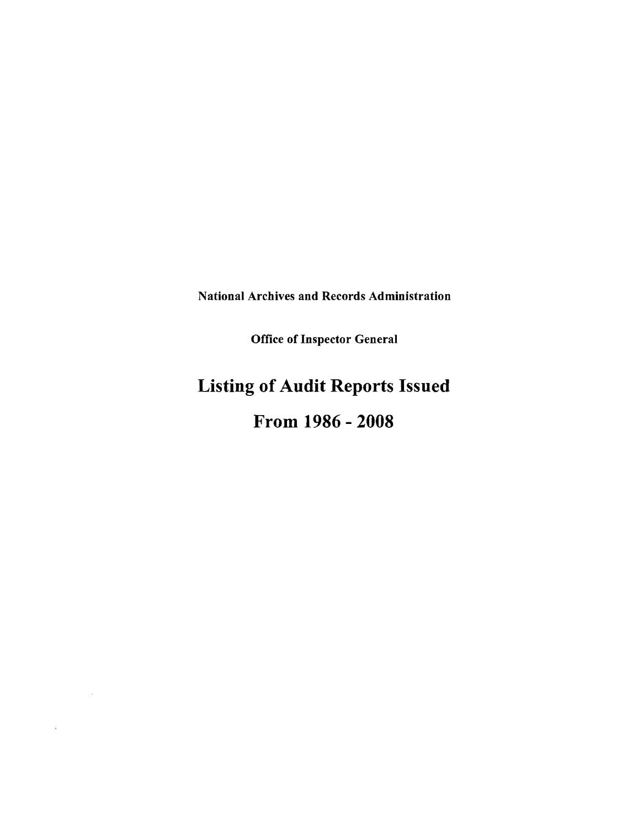National Archives and Records Administration

Office of Inspector General

# **Listing of Audit Reports Issued**

### **From 1986 - 2008**

 $\sim 10^7$ 

 $\lambda$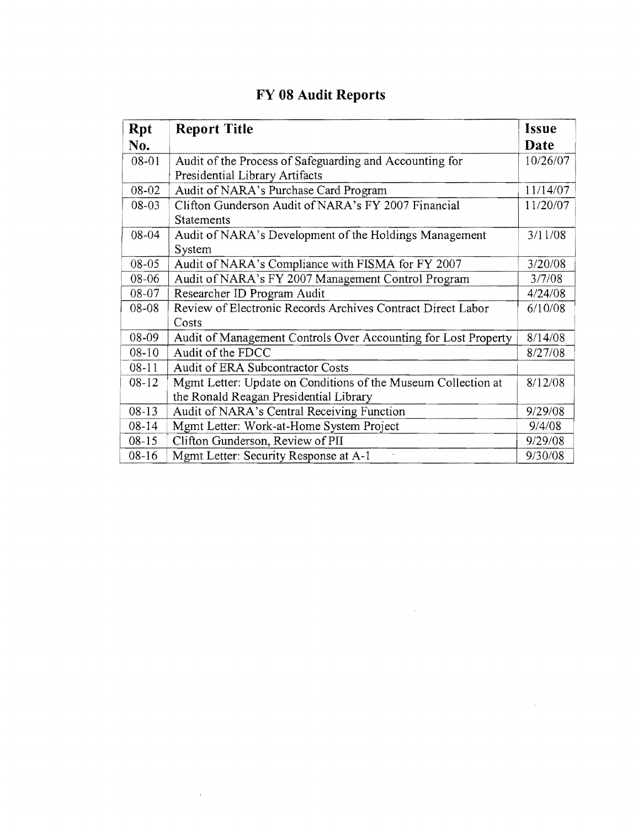| <b>Rpt</b> | <b>Report Title</b>                                            | <b>Issue</b> |
|------------|----------------------------------------------------------------|--------------|
| No.        |                                                                | Date         |
| 08-01      | Audit of the Process of Safeguarding and Accounting for        | 10/26/07     |
|            | Presidential Library Artifacts                                 |              |
| 08-02      | Audit of NARA's Purchase Card Program                          | 11/14/07     |
| $08 - 03$  | Clifton Gunderson Audit of NARA's FY 2007 Financial            | 11/20/07     |
|            | <b>Statements</b>                                              |              |
| $08 - 04$  | Audit of NARA's Development of the Holdings Management         | 3/11/08      |
|            | System                                                         |              |
| $08 - 05$  | Audit of NARA's Compliance with FISMA for FY 2007              | 3/20/08      |
| 08-06      | Audit of NARA's FY 2007 Management Control Program             | 3/7/08       |
| 08-07      | Researcher ID Program Audit                                    | 4/24/08      |
| $08 - 08$  | Review of Electronic Records Archives Contract Direct Labor    | 6/10/08      |
|            | Costs                                                          |              |
| 08-09      | Audit of Management Controls Over Accounting for Lost Property | 8/14/08      |
| $08 - 10$  | Audit of the FDCC                                              | 8/27/08      |
| $08 - 11$  | <b>Audit of ERA Subcontractor Costs</b>                        |              |
| $08 - 12$  | Mgmt Letter: Update on Conditions of the Museum Collection at  | 8/12/08      |
|            | the Ronald Reagan Presidential Library                         |              |
| $08-13$    | Audit of NARA's Central Receiving Function                     | 9/29/08      |
| $08 - 14$  | Mgmt Letter: Work-at-Home System Project                       | 9/4/08       |
| $08 - 15$  | Clifton Gunderson, Review of PII                               | 9/29/08      |
| $08 - 16$  | Mgmt Letter: Security Response at A-1                          | 9/30/08      |

 $\sim 10^{-11}$ 

 $\mathcal{L}^{\text{max}}_{\text{max}}$ 

 $\sim 10^6$ 

### **FY 08 Audit Reports**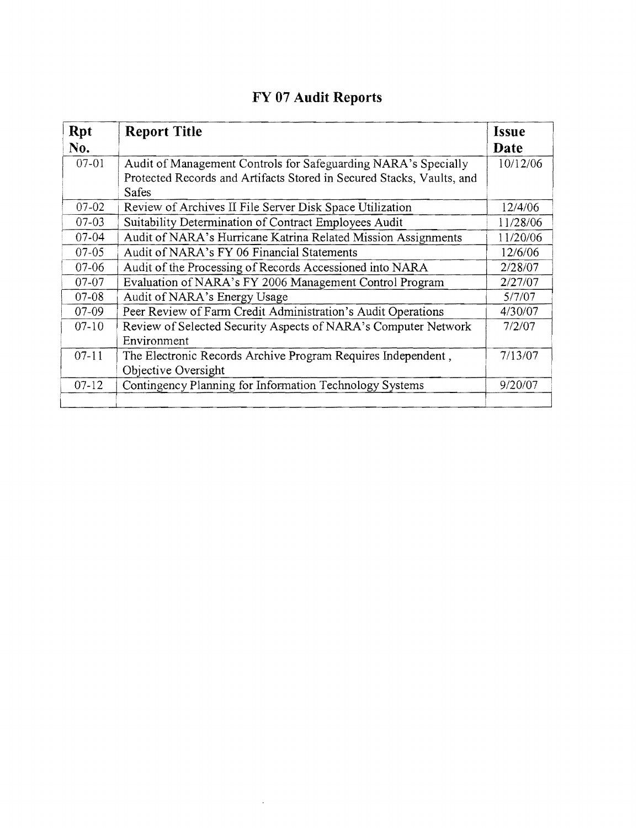| <b>Rpt</b><br>No. | <b>Report Title</b>                                                                                                                                     | <b>Issue</b><br>Date |
|-------------------|---------------------------------------------------------------------------------------------------------------------------------------------------------|----------------------|
| $07-01$           | Audit of Management Controls for Safeguarding NARA's Specially<br>Protected Records and Artifacts Stored in Secured Stacks, Vaults, and<br><b>Safes</b> | 10/12/06             |
| $07 - 02$         | Review of Archives II File Server Disk Space Utilization                                                                                                | 12/4/06              |
| $07-03$           | Suitability Determination of Contract Employees Audit                                                                                                   | 11/28/06             |
| $07 - 04$         | Audit of NARA's Hurricane Katrina Related Mission Assignments                                                                                           | 11/20/06             |
| $07-05$           | Audit of NARA's FY 06 Financial Statements                                                                                                              | 12/6/06              |
| $07-06$           | Audit of the Processing of Records Accessioned into NARA                                                                                                | 2/28/07              |
| $07 - 07$         | Evaluation of NARA's FY 2006 Management Control Program                                                                                                 | 2/27/07              |
| $07 - 08$         | Audit of NARA's Energy Usage                                                                                                                            | 5/7/07               |
| $07-09$           | Peer Review of Farm Credit Administration's Audit Operations                                                                                            | 4/30/07              |
| $07-10$           | Review of Selected Security Aspects of NARA's Computer Network<br>Environment                                                                           | 7/2/07               |
| $07-11$           | The Electronic Records Archive Program Requires Independent,<br>Objective Oversight                                                                     | 7/13/07              |
| $07-12$           | Contingency Planning for Information Technology Systems                                                                                                 | 9/20/07              |

 $\mathcal{A}^{\pm}$ 

### **FY 07 Audit Reports**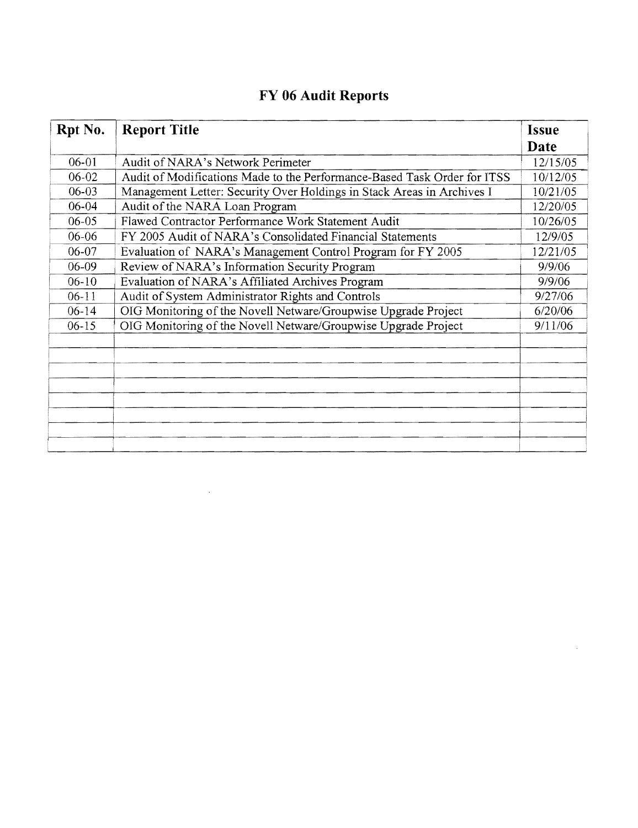| Rpt No.   | <b>Report Title</b>                                                      | <b>Issue</b> |
|-----------|--------------------------------------------------------------------------|--------------|
|           |                                                                          | Date         |
| $06 - 01$ | Audit of NARA's Network Perimeter                                        | 12/15/05     |
| $06 - 02$ | Audit of Modifications Made to the Performance-Based Task Order for ITSS | 10/12/05     |
| $06-03$   | Management Letter: Security Over Holdings in Stack Areas in Archives I   | 10/21/05     |
| 06-04     | Audit of the NARA Loan Program                                           | 12/20/05     |
| $06 - 05$ | Flawed Contractor Performance Work Statement Audit                       | 10/26/05     |
| 06-06     | FY 2005 Audit of NARA's Consolidated Financial Statements                | 12/9/05      |
| $06 - 07$ | Evaluation of NARA's Management Control Program for FY 2005              | 12/21/05     |
| $06 - 09$ | Review of NARA's Information Security Program                            | 9/9/06       |
| $06 - 10$ | Evaluation of NARA's Affiliated Archives Program                         | 9/9/06       |
| $06-11$   | Audit of System Administrator Rights and Controls                        | 9/27/06      |
| $06-14$   | OIG Monitoring of the Novell Netware/Groupwise Upgrade Project           | 6/20/06      |
| $06 - 15$ | OIG Monitoring of the Novell Netware/Groupwise Upgrade Project           | 9/11/06      |
|           |                                                                          |              |
|           |                                                                          |              |
|           |                                                                          |              |
|           |                                                                          |              |
|           |                                                                          |              |
|           |                                                                          |              |
|           |                                                                          |              |
|           |                                                                          |              |

#### FY 06 Audit Reports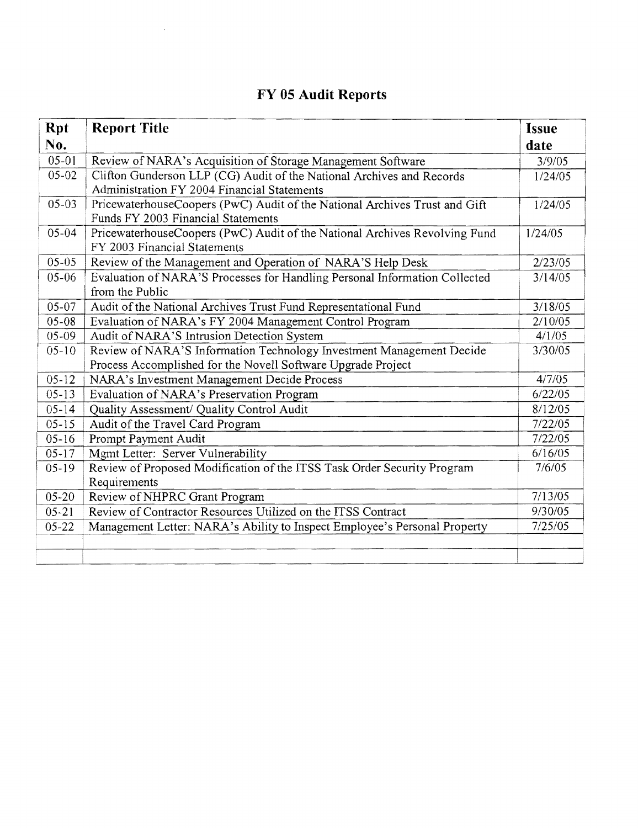#### **FY 05 Audit Reports**

 $\sim 40^{\circ}$ 

| <b>Rpt</b> | <b>Report Title</b>                                                                                                                  | <b>Issue</b> |
|------------|--------------------------------------------------------------------------------------------------------------------------------------|--------------|
| No.        |                                                                                                                                      | date         |
| $05 - 01$  | Review of NARA's Acquisition of Storage Management Software                                                                          | 3/9/05       |
| $05 - 02$  | Clifton Gunderson LLP (CG) Audit of the National Archives and Records<br>Administration FY 2004 Financial Statements                 | 1/24/05      |
| $05-03$    | PricewaterhouseCoopers (PwC) Audit of the National Archives Trust and Gift<br>Funds FY 2003 Financial Statements                     | 1/24/05      |
| $05 - 04$  | PricewaterhouseCoopers (PwC) Audit of the National Archives Revolving Fund<br>FY 2003 Financial Statements                           | 1/24/05      |
| $05 - 05$  | Review of the Management and Operation of NARA'S Help Desk                                                                           | 2/23/05      |
| $05 - 06$  | Evaluation of NARA'S Processes for Handling Personal Information Collected<br>from the Public                                        | 3/14/05      |
| 05-07      | Audit of the National Archives Trust Fund Representational Fund                                                                      | 3/18/05      |
| $05 - 08$  | Evaluation of NARA's FY 2004 Management Control Program                                                                              | 2/10/05      |
| $05-09$    | Audit of NARA'S Intrusion Detection System                                                                                           | 4/1/05       |
| $05 - 10$  | Review of NARA'S Information Technology Investment Management Decide<br>Process Accomplished for the Novell Software Upgrade Project | 3/30/05      |
| $05 - 12$  | NARA's Investment Management Decide Process                                                                                          | 4/7/05       |
| $05-13$    | Evaluation of NARA's Preservation Program                                                                                            | 6/22/05      |
| $05 - 14$  | Quality Assessment/ Quality Control Audit                                                                                            | 8/12/05      |
| $05 - 15$  | Audit of the Travel Card Program                                                                                                     | 7/22/05      |
| $05 - 16$  | Prompt Payment Audit                                                                                                                 | 7/22/05      |
| $05 - 17$  | Mgmt Letter: Server Vulnerability                                                                                                    | 6/16/05      |
| $05-19$    | Review of Proposed Modification of the ITSS Task Order Security Program<br>Requirements                                              | 7/6/05       |
| $05 - 20$  | Review of NHPRC Grant Program                                                                                                        | 7/13/05      |
| $05 - 21$  | Review of Contractor Resources Utilized on the ITSS Contract                                                                         | 9/30/05      |
| $05 - 22$  | Management Letter: NARA's Ability to Inspect Employee's Personal Property                                                            | 7/25/05      |
|            |                                                                                                                                      |              |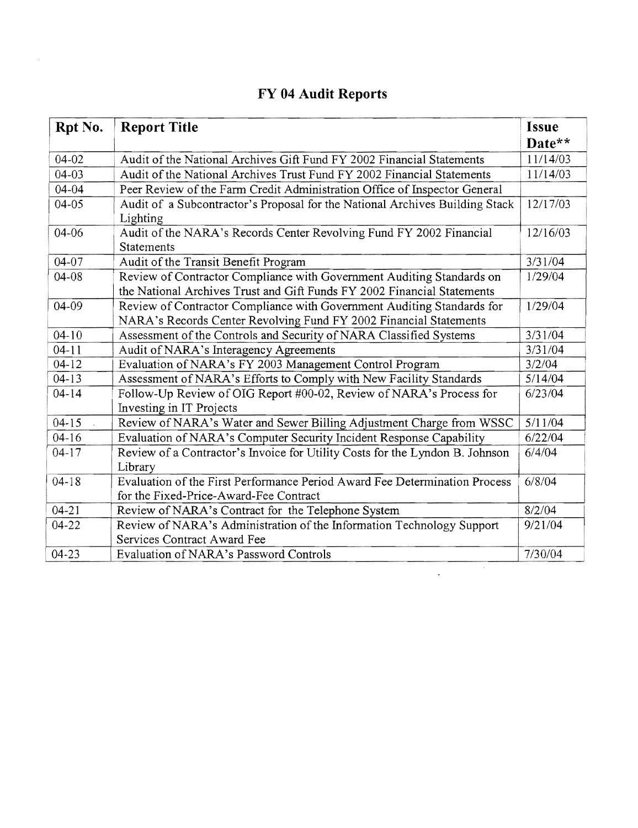| Rpt No.   | <b>Report Title</b>                                                                             | <b>Issue</b> |
|-----------|-------------------------------------------------------------------------------------------------|--------------|
|           |                                                                                                 | Date**       |
| 04-02     | Audit of the National Archives Gift Fund FY 2002 Financial Statements                           | 11/14/03     |
| $04 - 03$ | Audit of the National Archives Trust Fund FY 2002 Financial Statements                          | 11/14/03     |
| $04 - 04$ | Peer Review of the Farm Credit Administration Office of Inspector General                       |              |
| $04 - 05$ | Audit of a Subcontractor's Proposal for the National Archives Building Stack<br>Lighting        | 12/17/03     |
| $04 - 06$ | Audit of the NARA's Records Center Revolving Fund FY 2002 Financial<br><b>Statements</b>        | 12/16/03     |
| $04 - 07$ | Audit of the Transit Benefit Program                                                            | 3/31/04      |
| $04 - 08$ | Review of Contractor Compliance with Government Auditing Standards on                           | 1/29/04      |
|           | the National Archives Trust and Gift Funds FY 2002 Financial Statements                         |              |
| 04-09     | Review of Contractor Compliance with Government Auditing Standards for                          | 1/29/04      |
|           | NARA's Records Center Revolving Fund FY 2002 Financial Statements                               |              |
| $04 - 10$ | Assessment of the Controls and Security of NARA Classified Systems                              | 3/31/04      |
| $04-11$   | Audit of NARA's Interagency Agreements                                                          | 3/31/04      |
| $04 - 12$ | Evaluation of NARA's FY 2003 Management Control Program                                         | 3/2/04       |
| $04 - 13$ | Assessment of NARA's Efforts to Comply with New Facility Standards                              | 5/14/04      |
| $04 - 14$ | Follow-Up Review of OIG Report #00-02, Review of NARA's Process for<br>Investing in IT Projects | 6/23/04      |
| $04 - 15$ | Review of NARA's Water and Sewer Billing Adjustment Charge from WSSC                            | 5/11/04      |
| $04 - 16$ | Evaluation of NARA's Computer Security Incident Response Capability                             | 6/22/04      |
| $04-17$   | Review of a Contractor's Invoice for Utility Costs for the Lyndon B. Johnson<br>Library         | 6/4/04       |
| $04 - 18$ | Evaluation of the First Performance Period Award Fee Determination Process                      | 6/8/04       |
|           | for the Fixed-Price-Award-Fee Contract                                                          |              |
| $04 - 21$ | Review of NARA's Contract for the Telephone System                                              | 8/2/04       |
| $04 - 22$ | Review of NARA's Administration of the Information Technology Support                           | 9/21/04      |
|           | Services Contract Award Fee                                                                     |              |
| $04 - 23$ | Evaluation of NARA's Password Controls                                                          | 7/30/04      |

 $\mathcal{A}$ 

 $\hat{\mathcal{L}}$ 

### **FY 04 Audit Reports**

 $\bar{z}$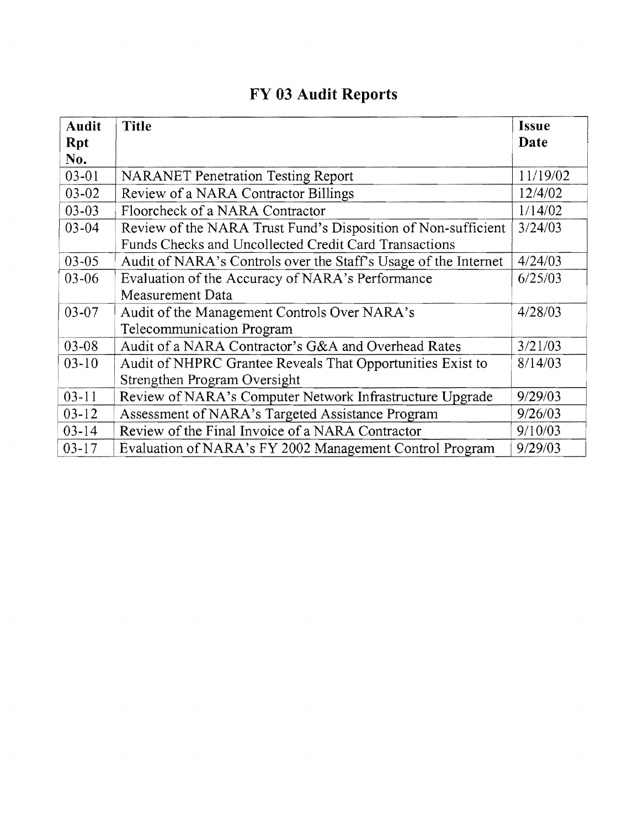## **FY 03 Audit Reports**

| <b>Audit</b> | <b>Title</b>                                                    | <b>Issue</b> |
|--------------|-----------------------------------------------------------------|--------------|
| <b>Rpt</b>   |                                                                 | Date         |
| No.          |                                                                 |              |
| $03-01$      | <b>NARANET Penetration Testing Report</b>                       | 11/19/02     |
| 03-02        | Review of a NARA Contractor Billings                            | 12/4/02      |
| $03 - 03$    | Floorcheck of a NARA Contractor                                 | 1/14/02      |
| $03 - 04$    | Review of the NARA Trust Fund's Disposition of Non-sufficient   | 3/24/03      |
|              | Funds Checks and Uncollected Credit Card Transactions           |              |
| $03 - 05$    | Audit of NARA's Controls over the Staff's Usage of the Internet | 4/24/03      |
| 03-06        | Evaluation of the Accuracy of NARA's Performance                | 6/25/03      |
|              | Measurement Data                                                |              |
| $03 - 07$    | Audit of the Management Controls Over NARA's                    | 4/28/03      |
|              | Telecommunication Program                                       |              |
| $03 - 08$    | Audit of a NARA Contractor's G&A and Overhead Rates             | 3/21/03      |
| $03-10$      | Audit of NHPRC Grantee Reveals That Opportunities Exist to      | 8/14/03      |
|              | Strengthen Program Oversight                                    |              |
| $03 - 11$    | Review of NARA's Computer Network Infrastructure Upgrade        | 9/29/03      |
| $03 - 12$    | Assessment of NARA's Targeted Assistance Program                | 9/26/03      |
| $03 - 14$    | Review of the Final Invoice of a NARA Contractor                | 9/10/03      |
| $03 - 17$    | Evaluation of NARA's FY 2002 Management Control Program         | 9/29/03      |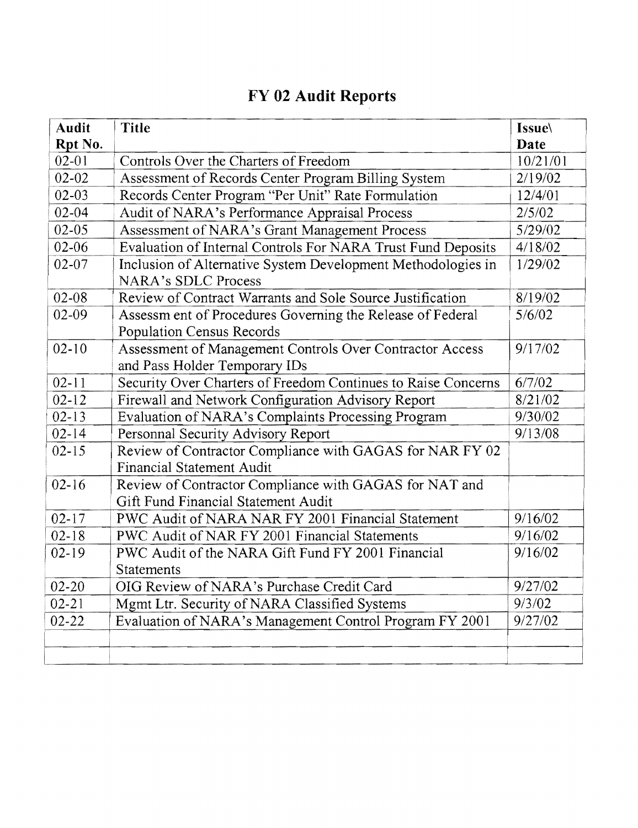## **FY 02 Audit Reports**

| <b>Audit</b><br>Rpt No. | <b>Title</b>                                                                                  | <b>Issue</b><br>Date |
|-------------------------|-----------------------------------------------------------------------------------------------|----------------------|
| $02 - 01$               | Controls Over the Charters of Freedom                                                         | 10/21/01             |
| $02 - 02$               | Assessment of Records Center Program Billing System                                           | 2/19/02              |
| $02 - 03$               | Records Center Program "Per Unit" Rate Formulation                                            | 12/4/01              |
| $02 - 04$               | Audit of NARA's Performance Appraisal Process                                                 | 2/5/02               |
| $02 - 05$               | Assessment of NARA's Grant Management Process                                                 | 5/29/02              |
| 02-06                   | Evaluation of Internal Controls For NARA Trust Fund Deposits                                  | 4/18/02              |
| $02 - 07$               | Inclusion of Alternative System Development Methodologies in<br><b>NARA's SDLC Process</b>    | 1/29/02              |
| $02 - 08$               | Review of Contract Warrants and Sole Source Justification                                     | 8/19/02              |
| $02 - 09$               | Assessm ent of Procedures Governing the Release of Federal<br>Population Census Records       | 5/6/02               |
| $02 - 10$               | Assessment of Management Controls Over Contractor Access<br>and Pass Holder Temporary IDs     | 9/17/02              |
| $02 - 11$               | Security Over Charters of Freedom Continues to Raise Concerns                                 | 6/7/02               |
| $02 - 12$               | Firewall and Network Configuration Advisory Report                                            | 8/21/02              |
| $02 - 13$               | Evaluation of NARA's Complaints Processing Program                                            | 9/30/02              |
| $02 - 14$               | Personnal Security Advisory Report                                                            | 9/13/08              |
| $02 - 15$               | Review of Contractor Compliance with GAGAS for NAR FY 02<br><b>Financial Statement Audit</b>  |                      |
| $02 - 16$               | Review of Contractor Compliance with GAGAS for NAT and<br>Gift Fund Financial Statement Audit |                      |
| $02 - 17$               | PWC Audit of NARA NAR FY 2001 Financial Statement                                             | 9/16/02              |
| $02 - 18$               | PWC Audit of NAR FY 2001 Financial Statements                                                 | 9/16/02              |
| $02-19$                 | PWC Audit of the NARA Gift Fund FY 2001 Financial<br><b>Statements</b>                        | 9/16/02              |
| $02 - 20$               | OIG Review of NARA's Purchase Credit Card                                                     | 9/27/02              |
| $02 - 21$               | Mgmt Ltr. Security of NARA Classified Systems                                                 | 9/3/02               |
| $02 - 22$               | Evaluation of NARA's Management Control Program FY 2001                                       | 9/27/02              |
|                         |                                                                                               |                      |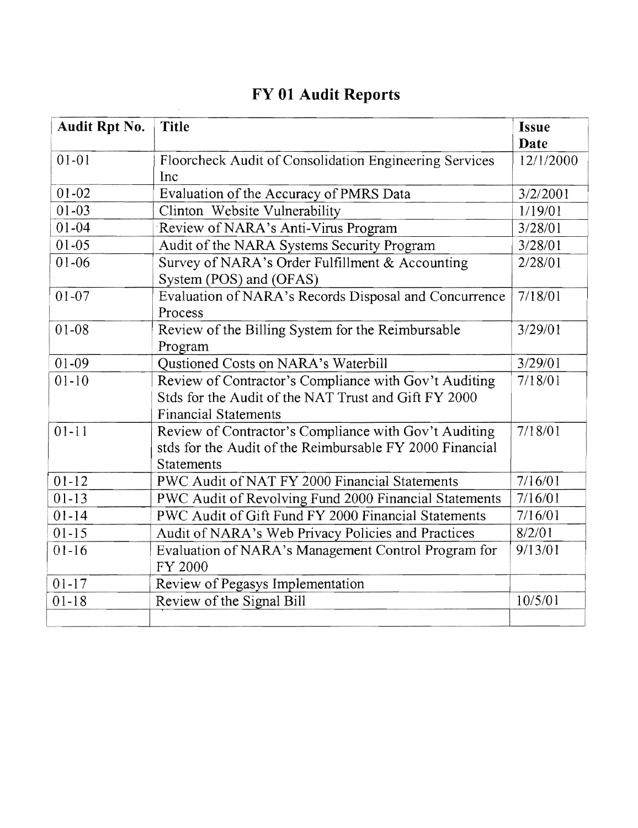| Audit Rpt No. | <b>Title</b>                                             | <b>Issue</b> |
|---------------|----------------------------------------------------------|--------------|
|               |                                                          | Date         |
| $01 - 01$     | Floorcheck Audit of Consolidation Engineering Services   | 12/1/2000    |
|               | Inc                                                      |              |
| $01 - 02$     | Evaluation of the Accuracy of PMRS Data                  | 3/2/2001     |
| $01 - 03$     | Clinton Website Vulnerability                            | 1/19/01      |
| $01 - 04$     | Review of NARA's Anti-Virus Program                      | 3/28/01      |
| $01 - 05$     | Audit of the NARA Systems Security Program               | 3/28/01      |
| $01 - 06$     | Survey of NARA's Order Fulfillment & Accounting          | 2/28/01      |
|               | System (POS) and (OFAS)                                  |              |
| $01 - 07$     | Evaluation of NARA's Records Disposal and Concurrence    | 7/18/01      |
|               | Process                                                  |              |
| $01 - 08$     | Review of the Billing System for the Reimbursable        | 3/29/01      |
|               | Program                                                  |              |
| $01 - 09$     | Qustioned Costs on NARA's Waterbill                      | 3/29/01      |
| $01 - 10$     | Review of Contractor's Compliance with Gov't Auditing    | 7/18/01      |
|               | Stds for the Audit of the NAT Trust and Gift FY 2000     |              |
|               | <b>Financial Statements</b>                              |              |
| $01 - 11$     | Review of Contractor's Compliance with Gov't Auditing    | 7/18/01      |
|               | stds for the Audit of the Reimbursable FY 2000 Financial |              |
|               | Statements                                               |              |
| $01 - 12$     | PWC Audit of NAT FY 2000 Financial Statements            | 7/16/01      |
| $01 - 13$     | PWC Audit of Revolving Fund 2000 Financial Statements    | 7/16/01      |
| $01 - 14$     | PWC Audit of Gift Fund FY 2000 Financial Statements      | 7/16/01      |
| $01 - 15$     | Audit of NARA's Web Privacy Policies and Practices       | 8/2/01       |
| $01-16$       | Evaluation of NARA's Management Control Program for      | 9/13/01      |
|               | FY 2000                                                  |              |
| $01 - 17$     | Review of Pegasys Implementation                         |              |
| $01 - 18$     | Review of the Signal Bill                                | 10/5/01      |
|               |                                                          |              |

## FY 01 Audit Reports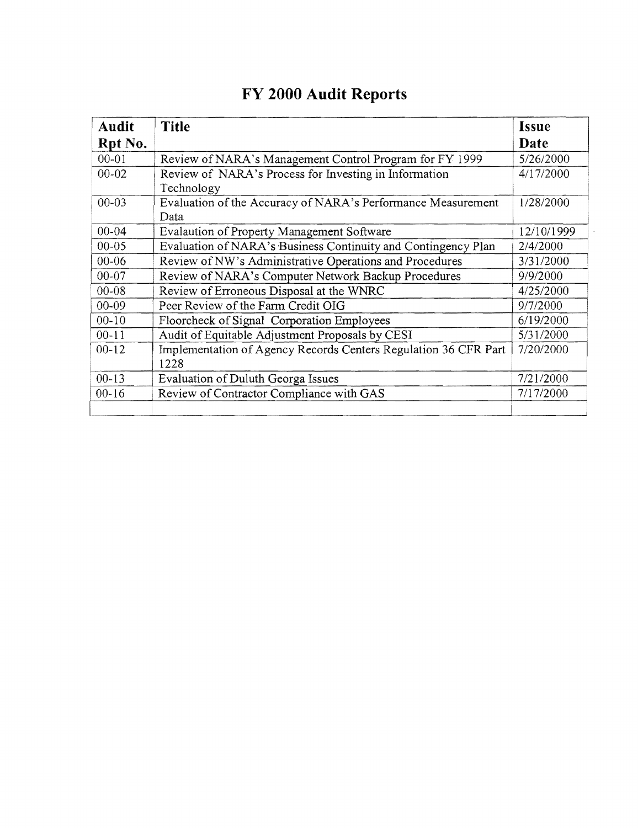| <b>Audit</b> | <b>Title</b>                                                            | <b>Issue</b> |
|--------------|-------------------------------------------------------------------------|--------------|
| Rpt No.      |                                                                         | Date         |
| $00 - 01$    | Review of NARA's Management Control Program for FY 1999                 | 5/26/2000    |
| $00 - 02$    | Review of NARA's Process for Investing in Information<br>Technology     | 4/17/2000    |
| $00 - 03$    | Evaluation of the Accuracy of NARA's Performance Measurement<br>Data    | 1/28/2000    |
| $00 - 04$    | <b>Evalaution of Property Management Software</b>                       | 12/10/1999   |
| $00 - 05$    | Evaluation of NARA's Business Continuity and Contingency Plan           | 2/4/2000     |
| $00 - 06$    | Review of NW's Administrative Operations and Procedures                 | 3/31/2000    |
| $00 - 07$    | Review of NARA's Computer Network Backup Procedures                     | 9/9/2000     |
| $00 - 08$    | Review of Erroneous Disposal at the WNRC                                | 4/25/2000    |
| $00 - 09$    | Peer Review of the Farm Credit OIG                                      | 9/7/2000     |
| $00 - 10$    | Floorcheck of Signal Corporation Employees                              | 6/19/2000    |
| $00 - 11$    | Audit of Equitable Adjustment Proposals by CESI                         | 5/31/2000    |
| $00 - 12$    | Implementation of Agency Records Centers Regulation 36 CFR Part<br>1228 | 7/20/2000    |
| $00 - 13$    | Evaluation of Duluth Georga Issues                                      | 7/21/2000    |
| $00 - 16$    | Review of Contractor Compliance with GAS                                | 7/17/2000    |
|              |                                                                         |              |

## **FY 2000 Audit Reports**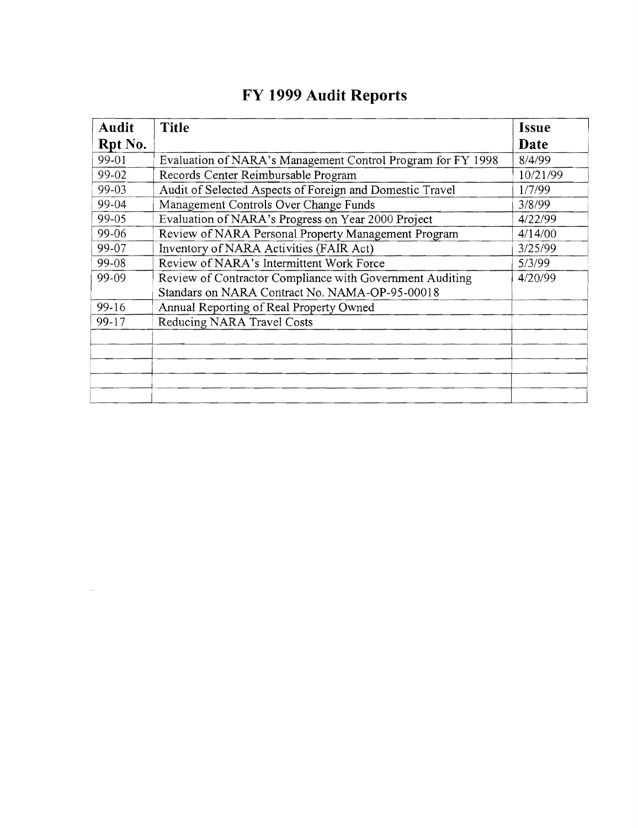| Audit   | <b>Title</b>                                                                                               | <b>Issue</b> |
|---------|------------------------------------------------------------------------------------------------------------|--------------|
| Rpt No. |                                                                                                            | Date         |
| 99-01   | Evaluation of NARA's Management Control Program for FY 1998                                                | 8/4/99       |
| 99-02   | Records Center Reimbursable Program                                                                        | 10/21/99     |
| 99-03   | Audit of Selected Aspects of Foreign and Domestic Travel                                                   | 1/7/99       |
| 99-04   | Management Controls Over Change Funds                                                                      | 3/8/99       |
| 99-05   | Evaluation of NARA's Progress on Year 2000 Project                                                         | 4/22/99      |
| 99-06   | Review of NARA Personal Property Management Program                                                        | 4/14/00      |
| 99-07   | Inventory of NARA Activities (FAIR Act)                                                                    | 3/25/99      |
| 99-08   | Review of NARA's Intermittent Work Force                                                                   | 5/3/99       |
| 99-09   | Review of Contractor Compliance with Government Auditing<br>Standars on NARA Contract No. NAMA-OP-95-00018 | 4/20/99      |
| 99-16   | Annual Reporting of Real Property Owned                                                                    |              |
| $99-17$ | Reducing NARA Travel Costs                                                                                 |              |
|         |                                                                                                            |              |
|         |                                                                                                            |              |
|         |                                                                                                            |              |

 $\mathcal{L}^{\text{max}}_{\text{max}}$  and  $\mathcal{L}^{\text{max}}_{\text{max}}$ 

# **FY 1999 Audit Reports**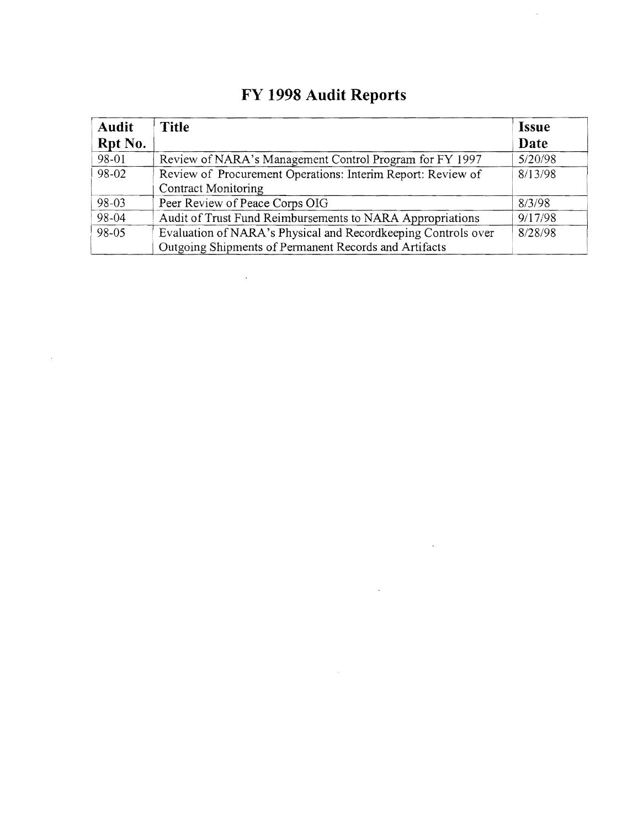| <b>Audit</b><br>Rpt No. | <b>Title</b>                                                                                                           | <b>Issue</b><br>Date |
|-------------------------|------------------------------------------------------------------------------------------------------------------------|----------------------|
| 98-01                   | Review of NARA's Management Control Program for FY 1997                                                                | 5/20/98              |
| 98-02                   | Review of Procurement Operations: Interim Report: Review of<br><b>Contract Monitoring</b>                              | 8/13/98              |
| 98-03                   | Peer Review of Peace Corps OIG                                                                                         | 8/3/98               |
| 98-04                   | Audit of Trust Fund Reimbursements to NARA Appropriations                                                              | 9/17/98              |
| 98-05                   | Evaluation of NARA's Physical and Recordkeeping Controls over<br>Outgoing Shipments of Permanent Records and Artifacts | 8/28/98              |

 $\mathcal{L}^{\text{max}}_{\text{max}}$ 

 $\mathcal{L}^{\text{max}}_{\text{max}}$ 

 $\label{eq:1} \frac{1}{\sqrt{2}}\int_{0}^{\infty}\frac{1}{\sqrt{2}}\left(\frac{1}{\sqrt{2}}\right)^{2}d\mu_{\rm{max}}\left(\frac{1}{\sqrt{2}}\right)$ 

 $\mathcal{L}^{\text{max}}_{\text{max}}$  , where  $\mathcal{L}^{\text{max}}_{\text{max}}$ 

 $\mathcal{A}^{\mathcal{A}}$ 

# FY 1998 Audit Reports

 $\mathcal{L}_{\mathbf{z}}$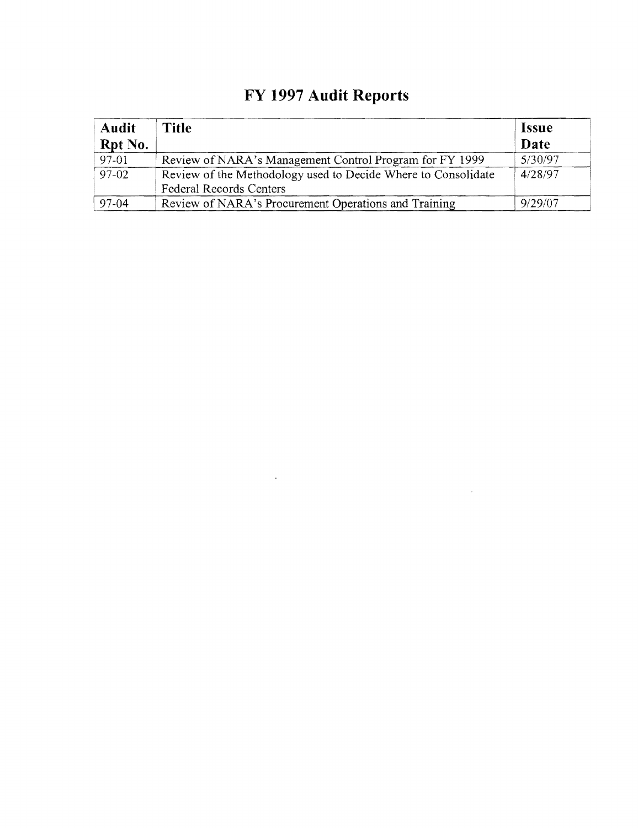| <b>Audit</b><br>Rpt No. | Title                                                                                           | <i>Issue</i><br>Date |
|-------------------------|-------------------------------------------------------------------------------------------------|----------------------|
| 97-01                   | Review of NARA's Management Control Program for FY 1999                                         | 5/30/97              |
| $97-02$                 | Review of the Methodology used to Decide Where to Consolidate<br><b>Federal Records Centers</b> | 4/28/97              |
| 97-04                   | Review of NARA's Procurement Operations and Training                                            | 9/29/07              |

# **FY 1997 Audit Reports**

 $\mathcal{L}^{\text{max}}_{\text{max}}$  and  $\mathcal{L}^{\text{max}}_{\text{max}}$ 

 $\label{eq:2} \mathcal{L} = \mathcal{L} \left( \mathcal{L} \right) \mathcal{L} \left( \mathcal{L} \right) \mathcal{L} \left( \mathcal{L} \right)$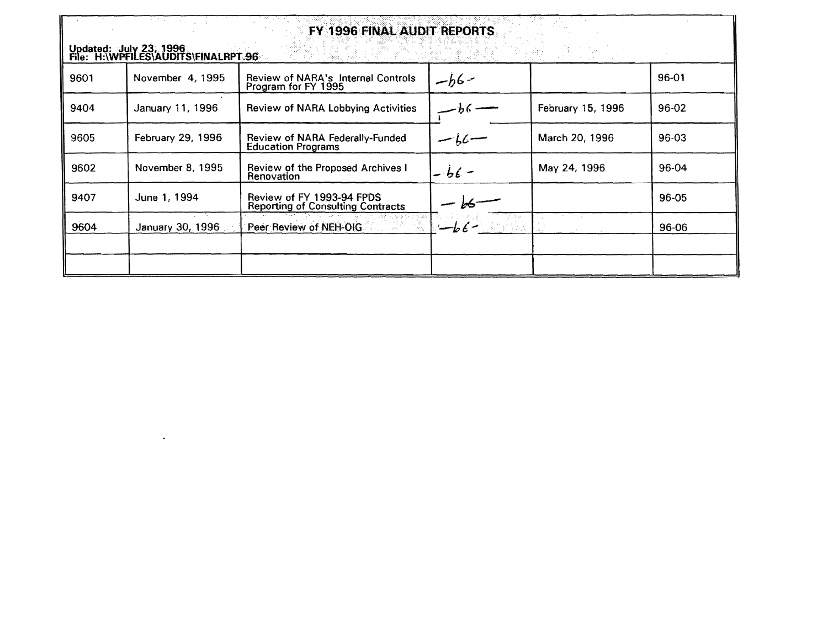| FY 1996 FINAL AUDIT REPORTS<br>Updated: July 23, 1996<br>File: H:\WPFILES\AUDITS\FINALRPT.96<br>1881. BA - 930. - D |                   |                                                                       |              |                   |           |
|---------------------------------------------------------------------------------------------------------------------|-------------------|-----------------------------------------------------------------------|--------------|-------------------|-----------|
| 9601                                                                                                                | November 4, 1995  | Review of NARA's Internal Controls<br>Program for FY 1995             | $-h6-$       |                   | 96-01     |
| 9404                                                                                                                | January 11, 1996  | Review of NARA Lobbying Activities                                    |              | February 15, 1996 | 96-02     |
| 9605                                                                                                                | February 29, 1996 | Review of NARA Federally-Funded<br><b>Education Programs</b>          | $-i\epsilon$ | March 20, 1996    | $96 - 03$ |
| 9602                                                                                                                | November 8, 1995  | Review of the Proposed Archives I<br>Renovation                       | $-b6 -$      | May 24, 1996      | 96-04     |
| 9407                                                                                                                | June 1, 1994      | Review of FY 1993-94 FPDS<br><b>Reporting of Consulting Contracts</b> |              |                   | 96-05     |
| 9604                                                                                                                | January 30, 1996  | Peer Review of NEH-OIG                                                |              |                   | 96-06     |
|                                                                                                                     |                   |                                                                       |              |                   |           |
|                                                                                                                     |                   |                                                                       |              |                   |           |

 $\mathcal{L}(\mathcal{L}(\mathcal{L}))$  and  $\mathcal{L}(\mathcal{L}(\mathcal{L}))$  . The contribution of  $\mathcal{L}(\mathcal{L})$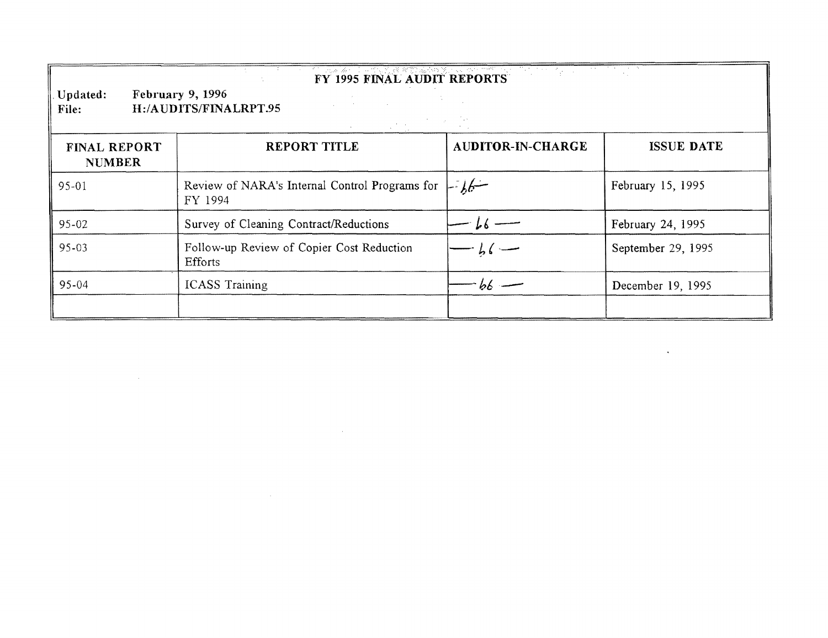| FY 1995 FINAL AUDIT REPORTS<br><b>February 9, 1996</b><br>Updated:<br>H:/AUDITS/FINALRPT.95<br>File: |                                                                  |                   |                    |  |
|------------------------------------------------------------------------------------------------------|------------------------------------------------------------------|-------------------|--------------------|--|
| <b>FINAL REPORT</b><br><b>NUMBER</b>                                                                 | <b>REPORT TITLE</b>                                              | AUDITOR-IN-CHARGE | <b>ISSUE DATE</b>  |  |
| 95-01                                                                                                | Review of NARA's Internal Control Programs for $\Box$<br>FY 1994 |                   | February 15, 1995  |  |
| 95-02                                                                                                | Survey of Cleaning Contract/Reductions                           | $-k6$ —           | February 24, 1995  |  |
| 95-03                                                                                                | Follow-up Review of Copier Cost Reduction<br>Efforts             | $-b6$             | September 29, 1995 |  |
| 95-04                                                                                                | <b>ICASS Training</b>                                            | - 66 —            | December 19, 1995  |  |

 $\mathcal{L}(\mathcal{L})$  and  $\mathcal{L}(\mathcal{L})$  are the set of the set of the set of the set of the set of the set of the set of the set of the set of the set of the set of the set of the set of the set of the set of the set of the set

 $\mathcal{L}(\mathcal{L}(\mathcal{L}(\mathcal{L}(\mathcal{L}(\mathcal{L}(\mathcal{L}(\mathcal{L}(\mathcal{L}(\mathcal{L}(\mathcal{L}(\mathcal{L}(\mathcal{L}(\mathcal{L}(\mathcal{L}(\mathcal{L}(\mathcal{L}(\mathcal{L}(\mathcal{L}(\mathcal{L}(\mathcal{L}(\mathcal{L}(\mathcal{L}(\mathcal{L}(\mathcal{L}(\mathcal{L}(\mathcal{L}(\mathcal{L}(\mathcal{L}(\mathcal{L}(\mathcal{L}(\mathcal{L}(\mathcal{L}(\mathcal{L}(\mathcal{L}(\mathcal{L}(\mathcal{$ 

 $\mathcal{L}(\mathcal{L}(\mathcal{L}))$  and  $\mathcal{L}(\mathcal{L}(\mathcal{L}))$  . The contribution of the contribution of  $\mathcal{L}(\mathcal{L})$ 

 $\mathcal{L}(\mathcal{L}(\mathcal{L}(\mathcal{L}(\mathcal{L}(\mathcal{L}(\mathcal{L}(\mathcal{L}(\mathcal{L}(\mathcal{L}(\mathcal{L}(\mathcal{L}(\mathcal{L}(\mathcal{L}(\mathcal{L}(\mathcal{L}(\mathcal{L}(\mathcal{L}(\mathcal{L}(\mathcal{L}(\mathcal{L}(\mathcal{L}(\mathcal{L}(\mathcal{L}(\mathcal{L}(\mathcal{L}(\mathcal{L}(\mathcal{L}(\mathcal{L}(\mathcal{L}(\mathcal{L}(\mathcal{L}(\mathcal{L}(\mathcal{L}(\mathcal{L}(\mathcal{L}(\mathcal{$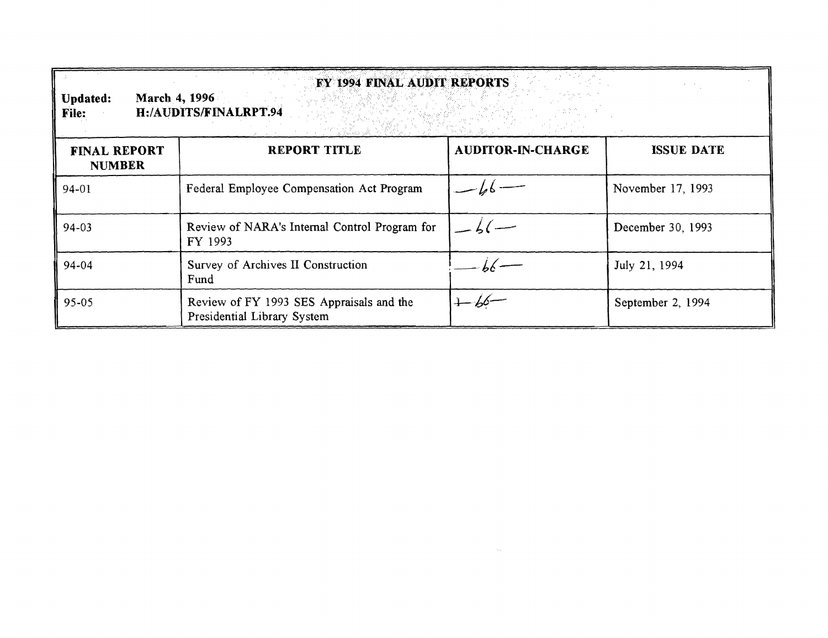| <b>FY 1994 FINAL AUDIT REPORTS</b><br>March 4, 1996<br><b>Updated:</b><br>H:/AUDITS/FINALRPT.94<br>File: |                                                                         |                          |                   |
|----------------------------------------------------------------------------------------------------------|-------------------------------------------------------------------------|--------------------------|-------------------|
| <b>FINAL REPORT</b><br><b>NUMBER</b>                                                                     | REPORT TITLE                                                            | <b>AUDITOR-IN-CHARGE</b> | <b>ISSUE DATE</b> |
| 94-01                                                                                                    | Federal Employee Compensation Act Program                               |                          | November 17, 1993 |
| 94-03                                                                                                    | Review of NARA's Internal Control Program for<br>FY 1993                |                          | December 30, 1993 |
| 94-04                                                                                                    | Survey of Archives II Construction<br>Fund                              |                          | July 21, 1994     |
| 95-05                                                                                                    | Review of FY 1993 SES Appraisals and the<br>Presidential Library System | $+66-$                   | September 2, 1994 |

 $\mathcal{L}^{\text{max}}_{\text{max}}$  and  $\mathcal{L}^{\text{max}}_{\text{max}}$  and  $\mathcal{L}^{\text{max}}_{\text{max}}$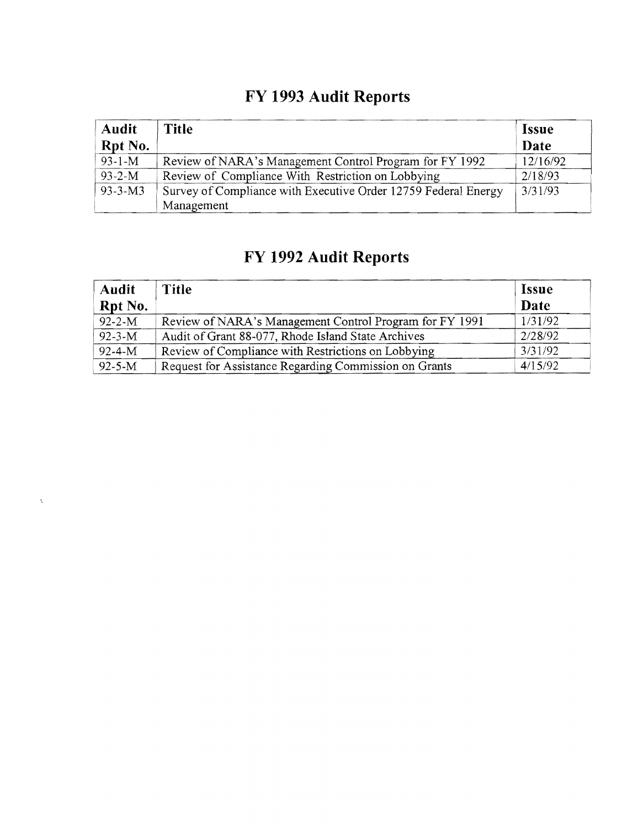## **FY 1993 Audit Reports**

| <b>Audit</b><br>Rpt No. | <b>Title</b>                                                                 | <i>Issue</i><br>Date |
|-------------------------|------------------------------------------------------------------------------|----------------------|
| $93 - 1 - M$            | Review of NARA's Management Control Program for FY 1992                      | 12/16/92             |
| $93 - 2 - M$            | Review of Compliance With Restriction on Lobbying                            | 2/18/93              |
| $93 - 3 - M3$           | Survey of Compliance with Executive Order 12759 Federal Energy<br>Management | 3/31/93              |

## **FY 1992 Audit Reports**

 $\hat{\lambda}$ 

| <b>Audit</b><br>Rpt No. | Title                                                   | <b>Issue</b><br>Date |
|-------------------------|---------------------------------------------------------|----------------------|
| $92 - 2 - M$            | Review of NARA's Management Control Program for FY 1991 | 1/31/92              |
| $92 - 3 - M$            | Audit of Grant 88-077, Rhode Island State Archives      | 2/28/92              |
| $92 - 4 - M$            | Review of Compliance with Restrictions on Lobbying      | 3/31/92              |
| $92 - 5 - M$            | Request for Assistance Regarding Commission on Grants   | 4/15/92              |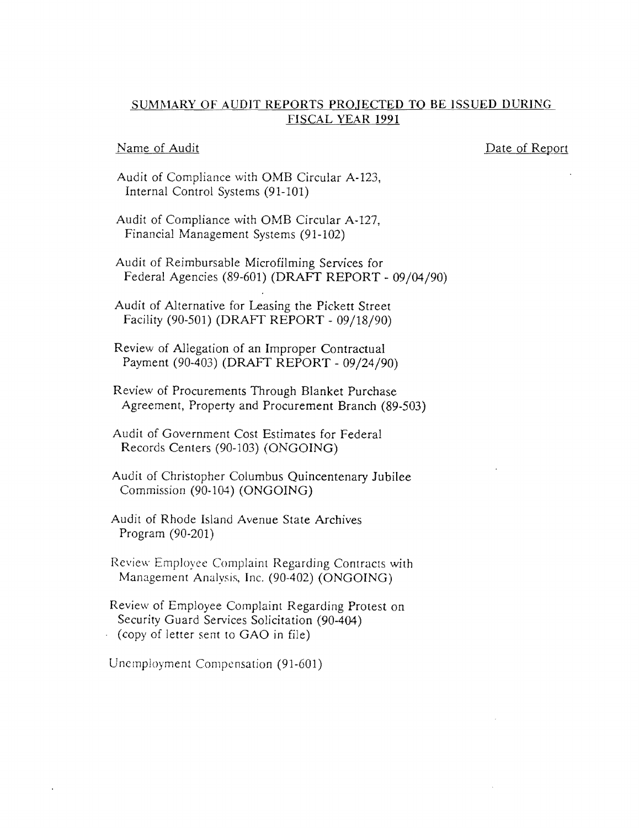#### SUMMARY OF AUDIT REPORTS PROJECTED TO BE ISSUED DURING FISCAL YEAR 1991

#### Name of Audit

#### Date of Report

Audit of Compliance with OMB Circular A-123, Internal Control Systems (91-101)

Audit of Compliance with OMB Circular *A-127,*  Financial Management Systems (91-102)

Audit of Reimbursable Microfilming Services for Federal Agencies (89-601) (DRAFf REPORT - 09/04/90)

Audit of Alternative for Leasing the Pickett Street Facility (90-501) (DRAFr REPORT - 09/18/90)

Review of Allegation of an Improper Contractual Payment (90-403) (DRAFf REPORT - 09/24/90)

Review of Procurements Through Blanket Purchase Agreement, Property and Procurement Branch (89-503)

Audit of Government Cost Estimates for Federal Records Centers (90-103) (ONGOING)

Audit of Christopher Columbus Quincentenary Jubilee Commission (90-104) (ONGOING)

Audit of Rhode Island Avenue State Archives Program (90-201)

Review Employee Complaint Regarding Contracts with Management Analysis, Inc. (90-402) (ONGOING)

Review of Employee Complaint Regarding Protest on Security Guard Services Solicitation (90-404)  $\cdot$  (copy of letter sent to GAO in file)

Unemployment Compensation (91-601)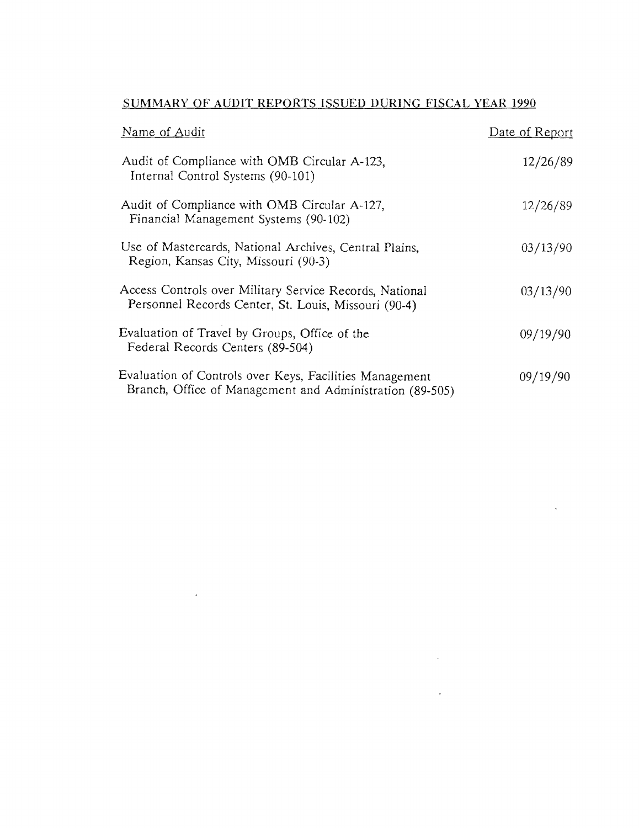| Name of Audit                                                                                                       | Date of Report |
|---------------------------------------------------------------------------------------------------------------------|----------------|
| Audit of Compliance with OMB Circular A-123,<br>Internal Control Systems (90-101)                                   | 12/26/89       |
| Audit of Compliance with OMB Circular A-127,<br>Financial Management Systems (90-102)                               | 12/26/89       |
| Use of Mastercards, National Archives, Central Plains,<br>Region, Kansas City, Missouri (90-3)                      | 03/13/90       |
| Access Controls over Military Service Records, National<br>Personnel Records Center, St. Louis, Missouri (90-4)     | 03/13/90       |
| Evaluation of Travel by Groups, Office of the<br>Federal Records Centers (89-504)                                   | 09/19/90       |
| Evaluation of Controls over Keys, Facilities Management<br>Branch, Office of Management and Administration (89-505) | 09/19/90       |

 $\mathcal{L}^{\text{max}}_{\text{max}}$  , where  $\mathcal{L}^{\text{max}}_{\text{max}}$ 

 $\bar{\lambda}$ 

 $\label{eq:2.1} \mathcal{L}(\mathcal{L}) = \mathcal{L}(\mathcal{L}) \mathcal{L}(\mathcal{L}) = \mathcal{L}(\mathcal{L}) \mathcal{L}(\mathcal{L})$ 

 $\mathcal{L}(\mathcal{L})$  .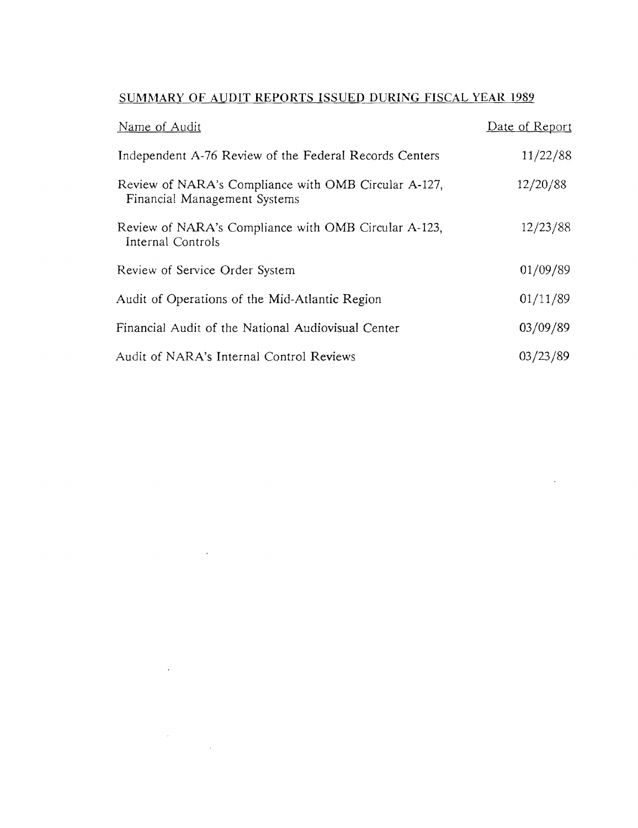| Name of Audit                                                                        | Date of Report |
|--------------------------------------------------------------------------------------|----------------|
| Independent A-76 Review of the Federal Records Centers                               | 11/22/88       |
| Review of NARA's Compliance with OMB Circular A-127,<br>Financial Management Systems | 12/20/88       |
| Review of NARA's Compliance with OMB Circular A-123,<br>Internal Controls            | 12/23/88       |
| Review of Service Order System                                                       | 01/09/89       |
| Audit of Operations of the Mid-Atlantic Region                                       | 01/11/89       |
| Financial Audit of the National Audiovisual Center                                   | 03/09/89       |
| Audit of NARA's Internal Control Reviews                                             | 03/23/89       |

 $\mathcal{L}^{\text{max}}_{\text{max}}$  ,  $\mathcal{L}^{\text{max}}_{\text{max}}$ 

 $\mathcal{L}(\mathcal{L}^{\text{max}})$  and  $\mathcal{L}(\mathcal{L}^{\text{max}})$ 

 $\label{eq:2.1} \frac{1}{\sqrt{2}}\sum_{i=1}^n\frac{1}{\sqrt{2}}\sum_{i=1}^n\frac{1}{\sqrt{2}}\sum_{i=1}^n\frac{1}{\sqrt{2}}\sum_{i=1}^n\frac{1}{\sqrt{2}}\sum_{i=1}^n\frac{1}{\sqrt{2}}\sum_{i=1}^n\frac{1}{\sqrt{2}}\sum_{i=1}^n\frac{1}{\sqrt{2}}\sum_{i=1}^n\frac{1}{\sqrt{2}}\sum_{i=1}^n\frac{1}{\sqrt{2}}\sum_{i=1}^n\frac{1}{\sqrt{2}}\sum_{i=1}^n\frac$ 

 $\sim 10^7$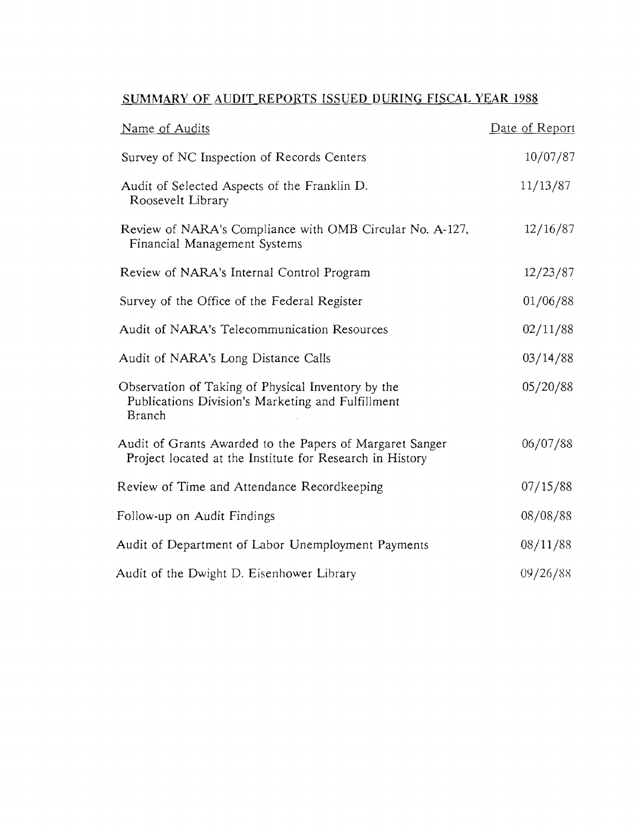| Name of Audits                                                                                                       | Date of Report |
|----------------------------------------------------------------------------------------------------------------------|----------------|
| Survey of NC Inspection of Records Centers                                                                           | 10/07/87       |
| Audit of Selected Aspects of the Franklin D.<br>Roosevelt Library                                                    | 11/13/87       |
| Review of NARA's Compliance with OMB Circular No. A-127,<br>Financial Management Systems                             | 12/16/87       |
| Review of NARA's Internal Control Program                                                                            | 12/23/87       |
| Survey of the Office of the Federal Register                                                                         | 01/06/88       |
| Audit of NARA's Telecommunication Resources                                                                          | 02/11/88       |
| Audit of NARA's Long Distance Calls                                                                                  | 03/14/88       |
| Observation of Taking of Physical Inventory by the<br>Publications Division's Marketing and Fulfillment<br>Branch    | 05/20/88       |
| Audit of Grants Awarded to the Papers of Margaret Sanger<br>Project located at the Institute for Research in History | 06/07/88       |
| Review of Time and Attendance Recordkeeping                                                                          | 07/15/88       |
| Follow-up on Audit Findings                                                                                          | 08/08/88       |
| Audit of Department of Labor Unemployment Payments                                                                   | 08/11/88       |
| Audit of the Dwight D. Eisenhower Library                                                                            | 09/26/88       |

 $\hat{A}$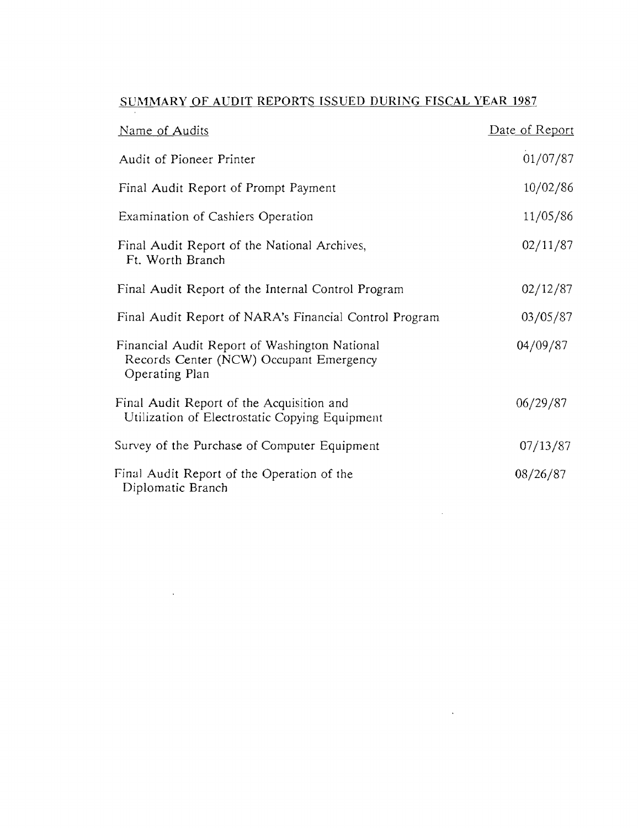| Name of Audits                                                                                             | Date of Report |
|------------------------------------------------------------------------------------------------------------|----------------|
| Audit of Pioneer Printer                                                                                   | 01/07/87       |
| Final Audit Report of Prompt Payment                                                                       | 10/02/86       |
| Examination of Cashiers Operation                                                                          | 11/05/86       |
| Final Audit Report of the National Archives,<br>Ft. Worth Branch                                           | 02/11/87       |
| Final Audit Report of the Internal Control Program                                                         | 02/12/87       |
| Final Audit Report of NARA's Financial Control Program                                                     | 03/05/87       |
| Financial Audit Report of Washington National<br>Records Center (NCW) Occupant Emergency<br>Operating Plan | 04/09/87       |
| Final Audit Report of the Acquisition and<br>Utilization of Electrostatic Copying Equipment                | 06/29/87       |
| Survey of the Purchase of Computer Equipment                                                               | 07/13/87       |
| Final Audit Report of the Operation of the<br>Diplomatic Branch                                            | 08/26/87       |

 $\mathcal{L}(\mathcal{L}(\mathcal{L}(\mathcal{L}(\mathcal{L}(\mathcal{L}(\mathcal{L}(\mathcal{L}(\mathcal{L}(\mathcal{L}(\mathcal{L}(\mathcal{L}(\mathcal{L}(\mathcal{L}(\mathcal{L}(\mathcal{L}(\mathcal{L}(\mathcal{L}(\mathcal{L}(\mathcal{L}(\mathcal{L}(\mathcal{L}(\mathcal{L}(\mathcal{L}(\mathcal{L}(\mathcal{L}(\mathcal{L}(\mathcal{L}(\mathcal{L}(\mathcal{L}(\mathcal{L}(\mathcal{L}(\mathcal{L}(\mathcal{L}(\mathcal{L}(\mathcal{L}(\mathcal{$ 

 $\sim 10$ 

 $\mathcal{L}(\mathcal{A})$  and  $\mathcal{L}(\mathcal{A})$